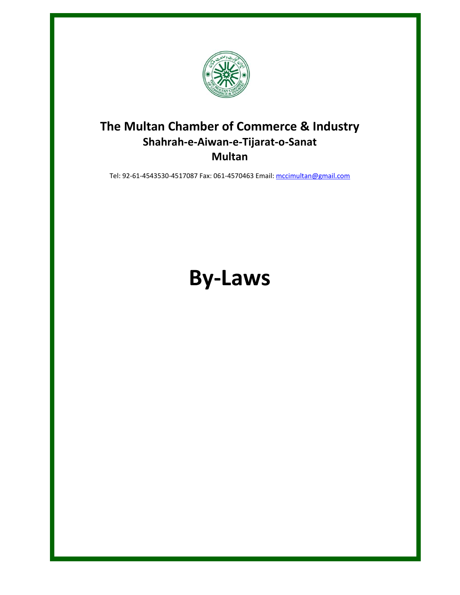

## **The Multan Chamber of Commerce & Industry Shahrah-e-Aiwan-e-Tijarat-o-Sanat Multan**

Tel: 92-61-4543530-4517087 Fax: 061-4570463 Email[: mccimultan@gmail.com](mailto:mccimultan@gmail.com)

# **By-Laws**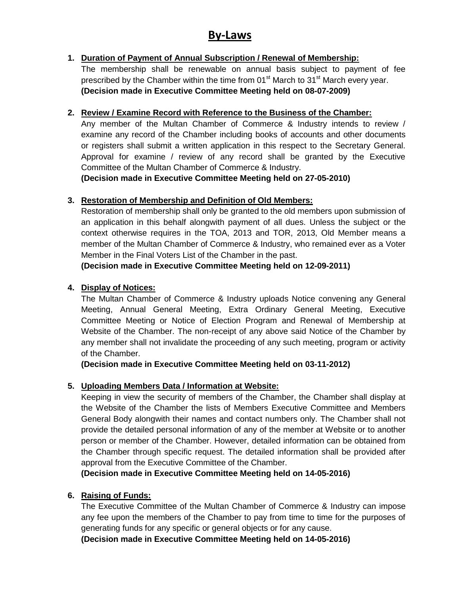### **By-Laws**

#### **1. Duration of Payment of Annual Subscription / Renewal of Membership:**

The membership shall be renewable on annual basis subject to payment of fee prescribed by the Chamber within the time from  $01<sup>st</sup>$  March to  $31<sup>st</sup>$  March every year. **(Decision made in Executive Committee Meeting held on 08-07-2009)**

#### **2. Review / Examine Record with Reference to the Business of the Chamber:**

Any member of the Multan Chamber of Commerce & Industry intends to review / examine any record of the Chamber including books of accounts and other documents or registers shall submit a written application in this respect to the Secretary General. Approval for examine / review of any record shall be granted by the Executive Committee of the Multan Chamber of Commerce & Industry.

**(Decision made in Executive Committee Meeting held on 27-05-2010)**

#### **3. Restoration of Membership and Definition of Old Members:**

Restoration of membership shall only be granted to the old members upon submission of an application in this behalf alongwith payment of all dues. Unless the subject or the context otherwise requires in the TOA, 2013 and TOR, 2013, Old Member means a member of the Multan Chamber of Commerce & Industry, who remained ever as a Voter Member in the Final Voters List of the Chamber in the past.

**(Decision made in Executive Committee Meeting held on 12-09-2011)**

#### **4. Display of Notices:**

The Multan Chamber of Commerce & Industry uploads Notice convening any General Meeting, Annual General Meeting, Extra Ordinary General Meeting, Executive Committee Meeting or Notice of Election Program and Renewal of Membership at Website of the Chamber. The non-receipt of any above said Notice of the Chamber by any member shall not invalidate the proceeding of any such meeting, program or activity of the Chamber.

**(Decision made in Executive Committee Meeting held on 03-11-2012)**

#### **5. Uploading Members Data / Information at Website:**

Keeping in view the security of members of the Chamber, the Chamber shall display at the Website of the Chamber the lists of Members Executive Committee and Members General Body alongwith their names and contact numbers only. The Chamber shall not provide the detailed personal information of any of the member at Website or to another person or member of the Chamber. However, detailed information can be obtained from the Chamber through specific request. The detailed information shall be provided after approval from the Executive Committee of the Chamber.

**(Decision made in Executive Committee Meeting held on 14-05-2016)**

#### **6. Raising of Funds:**

The Executive Committee of the Multan Chamber of Commerce & Industry can impose any fee upon the members of the Chamber to pay from time to time for the purposes of generating funds for any specific or general objects or for any cause.

**(Decision made in Executive Committee Meeting held on 14-05-2016)**